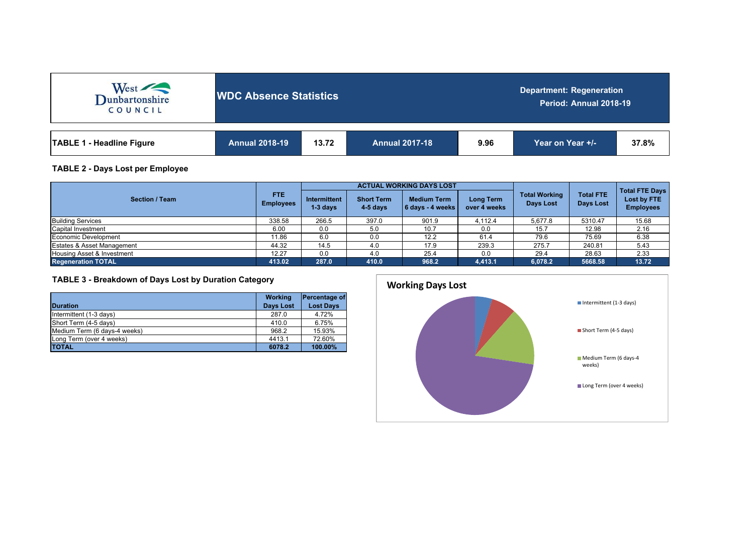| West<br>COUNCIL                  | <b>WDC Absence Statistics</b> |       |                       | <b>Department: Regeneration</b><br>Period: Annual 2018-19 |                  |       |  |  |  |
|----------------------------------|-------------------------------|-------|-----------------------|-----------------------------------------------------------|------------------|-------|--|--|--|
| <b>TABLE 1 - Headline Figure</b> | <b>Annual 2018-19</b>         | 13.72 | <b>Annual 2017-18</b> | 9.96                                                      | Year on Year +/- | 37.8% |  |  |  |

# **TABLE 2 - Days Lost per Employee**

|                            | <b>FTE</b><br><b>Employees</b> |                            |                                 | <b>ACTUAL WORKING DAYS LOST</b>          |                                  |                                          |                               |                                                          |
|----------------------------|--------------------------------|----------------------------|---------------------------------|------------------------------------------|----------------------------------|------------------------------------------|-------------------------------|----------------------------------------------------------|
| <b>Section / Team</b>      |                                | Intermittent<br>$1-3$ davs | <b>Short Term</b><br>$4-5$ days | <b>Medium Term</b><br>  6 davs - 4 weeks | <b>Long Term</b><br>over 4 weeks | <b>Total Working</b><br><b>Days Lost</b> | <b>Total FTE</b><br>Days Lost | <b>Total FTE Days</b><br>Lost by FTE<br><b>Employees</b> |
| <b>Building Services</b>   | 338.58                         | 266.5                      | 397.0                           | 901.9                                    | 4.112.4                          | 5.677.8                                  | 5310.47                       | 15.68                                                    |
| Capital Investment         | 6.00                           | 0.0                        | 5.0                             | 10.7                                     | 0.0                              | 15.7                                     | 12.98                         | 2.16                                                     |
| Economic Development       | 11.86                          | 6.0                        | 0.0                             | 12.2                                     | 61.4                             | 79.6                                     | 75.69                         | 6.38                                                     |
| Estates & Asset Management | 44.32                          | 14.5                       | 4.0                             | 17.9                                     | 239.3                            | 275.7                                    | 240.81                        | 5.43                                                     |
| Housing Asset & Investment | 12.27                          | 0.0                        | 4.0                             | 25.4                                     | 0.0                              | 29.4                                     | 28.63                         | 2.33                                                     |
| <b>Regeneration TOTAL</b>  | 413.02                         | 287.0                      | 410.0                           | 968.2                                    | 4.413.1                          | 6.078.2                                  | 5668.58                       | 13.72                                                    |

# **TABLE 3 - Breakdown of Days Lost by Duration Category**

| <b>Duration</b>              | <b>Working</b><br><b>Days Lost</b> | Percentage of<br><b>Lost Days</b> |
|------------------------------|------------------------------------|-----------------------------------|
| Intermittent (1-3 days)      | 287.0                              | 4.72%                             |
| Short Term (4-5 days)        | 410.0                              | 6.75%                             |
| Medium Term (6 days-4 weeks) | 968.2                              | 15.93%                            |
| Long Term (over 4 weeks)     | 4413.1                             | 72.60%                            |
| <b>TOTAL</b>                 | 6078.2                             | 100.00%                           |